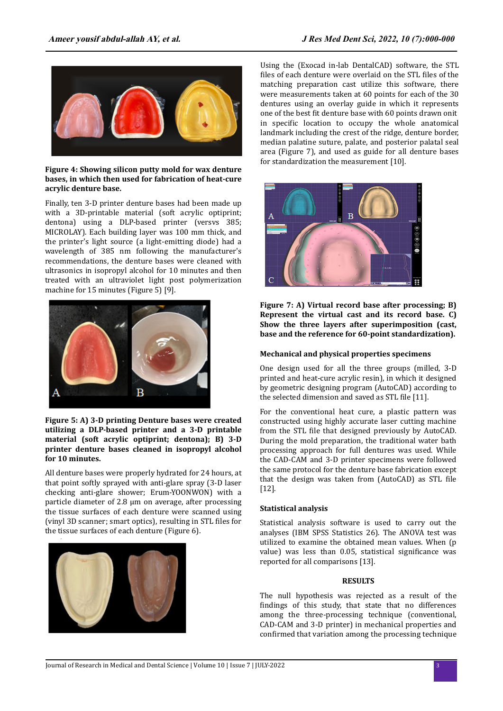

#### **Figure 4: Showing silicon putty mold for wax denture bases, in which then used for fabrication of heat-cure acrylic denture base.**

Finally, ten 3-D printer denture bases had been made up with a 3D-printable material (soft acrylic optiprint; dentona) using a DLP-based printer (versvs 385; MICROLAY). Each building layer was 100 mm thick, and the printer's light source (a light-emitting diode) had a wavelength of 385 nm following the manufacturer's recommendations, the denture bases were cleaned with ultrasonics in isopropyl alcohol for 10 minutes and then treated with an ultraviolet light post polymerization machine for 15 minutes (Figure 5) [9].



**Figure 5: A) 3-D printing Denture bases were created utilizing a DLP-based printer and a 3-D printable material (soft acrylic optiprint; dentona); B) 3-D printer denture bases cleaned in isopropyl alcohol for 10 minutes.**

All denture bases were properly hydrated for 24 hours, at that point softly sprayed with anti-glare spray (3-D laser checking anti-glare shower; Erum-YOONWON) with a particle diameter of 2.8 µm on average, after processing the tissue surfaces of each denture were scanned using (vinyl 3D scanner; smart optics), resulting in STL files for the tissue surfaces of each denture (Figure 6).



**Figure 6: denture base with its corresponding cast after cleaning and finishing.**

Using the (Exocad in-lab DentalCAD) software, the STL files of each denture were overlaid on the STL files of the matching preparation cast utilize this software, there were measurements taken at 60 points for each of the 30 dentures using an overlay guide in which it represents one of the best fit denture base with 60 points drawn on it in specific location to occupy the whole anatomical landmark including the crest of the ridge, denture border, median palatine suture, palate, and posterior palatal seal area (Figure 7), and used as guide for all denture bases for standardization the measurement [10].



**Figure 7: A) Virtual record base after processing; B) Represent the virtual cast and its record base. C) Show the three layers after superimposition (cast, base and the reference for 60-point standardization).**

### **Mechanical and physical properties specimens**

One design used for all the three groups (milled, 3-D printed and heat-cure acrylic resin), in which it designed by geometric designing program (AutoCAD) according to the selected dimension and saved as STL file [11].

For the conventional heat cure, a plastic pattern was constructed using highly accurate laser cutting machine from the STL file that designed previously by AutoCAD. During the mold preparation, the traditional water bath processing approach for full dentures was used. While the CAD-CAM and 3-D printer specimens were followed the same protocol for the denture base fabrication except that the design was taken from (AutoCAD) as STL file [12].

## **Statistical analysis**

Statistical analysis software is used to carry out the analyses (IBM SPSS Statistics 26). The ANOVA test was utilized to examine the obtained mean values. When (p value) was less than 0.05, statistical significance was reported for all comparisons [13].

#### **RESULTS**

The null hypothesis was rejected as a result of the findings of this study, that state that no differences among the three-processing technique (conventional, CAD-CAM and 3-D printer) in mechanical properties and confirmed that variation among the processing technique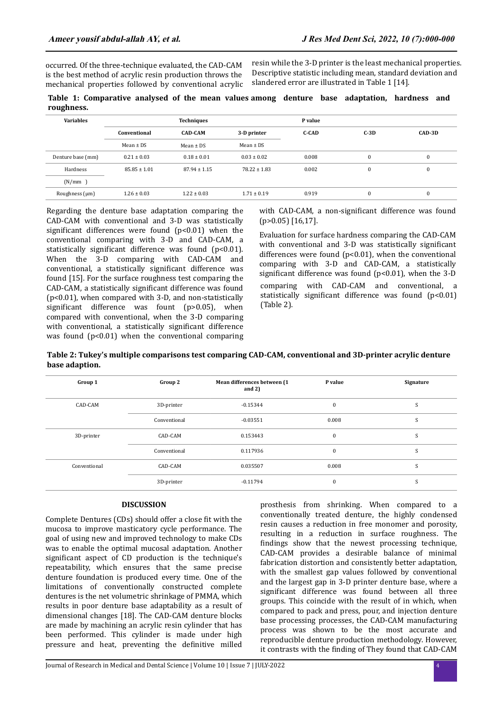occurred. Of the three-technique evaluated, the CAD-CAM is the best method of acrylic resin production throws the mechanical properties followed by conventional acrylic resin while the 3-D printer is the least mechanical properties. Descriptive statistic including mean, standard deviation and slandered error are illustrated in Table 1 [14].

|            |  |  |  | Table 1: Comparative analysed of the mean values among denture base adaptation, hardness and |  |  |  |
|------------|--|--|--|----------------------------------------------------------------------------------------------|--|--|--|
| roughness. |  |  |  |                                                                                              |  |  |  |

| <b>Variables</b>    |                  | <b>Techniques</b> |                  | P value      |          |              |  |
|---------------------|------------------|-------------------|------------------|--------------|----------|--------------|--|
|                     | Conventional     | <b>CAD-CAM</b>    | 3-D printer      | <b>C-CAD</b> | $C-3D$   | CAD-3D       |  |
|                     | $Mean \pm DS$    | Mean $\pm$ DS     | $Mean \pm DS$    |              |          |              |  |
| Denture base (mm)   | $0.21 \pm 0.03$  | $0.18 \pm 0.01$   | $0.03 \pm 0.02$  | 0.008        | $\bf{0}$ | $\mathbf{0}$ |  |
| Hardness            | $85.85 \pm 1.01$ | $87.94 \pm 1.15$  | $78.22 \pm 1.83$ | 0.002        | $\bf{0}$ | $\mathbf{0}$ |  |
| (N/mm)              |                  |                   |                  |              |          |              |  |
| Roughness $(\mu m)$ | $1.26 \pm 0.03$  | $1.22 \pm 0.03$   | $1.71 \pm 0.19$  | 0.919        | $\bf{0}$ | $\mathbf{0}$ |  |

Regarding the denture base adaptation comparing the CAD-CAM with conventional and 3-D was statistically significant differences were found  $(p<0.01)$  when the conventional comparing with 3-D and CAD-CAM, a statistically significant difference was found (p<0.01). When the 3-D comparing with CAD-CAM and conventional, a statistically significant difference was found [15]. For the surface roughness test comparing the CAD-CAM, a statistically significant difference was found (p<0.01), when compared with 3-D, and non-statistically significant difference was fount ( $p > 0.05$ ), when compared with conventional, when the 3-D comparing with conventional, a statistically significant difference was found  $(p<0.01)$  when the conventional comparing

with CAD-CAM, a non-significant difference was found (p>0.05) [16,17].

Evaluation for surface hardness comparing the CAD-CAM with conventional and 3-D was statistically significant differences were found  $(p<0.01)$ , when the conventional comparing with 3-D and CAD-CAM, a statistically significant difference was found ( $p$ <0.01), when the 3-D comparing with CAD-CAM and conventional, a statistically significant difference was found (p<0.01) (Table 2).

**Table 2: Tukey's multiple comparisons test comparing CAD-CAM, conventional and 3D-printer acrylic denture base adaption.** 

| Group 1      | Group 2      | Mean differences between (1<br>and $2)$ | P value      | Signature |
|--------------|--------------|-----------------------------------------|--------------|-----------|
| CAD-CAM      | 3D-printer   | $-0.15344$                              | 0            | S         |
|              | Conventional | $-0.03551$                              | 0.008        | S         |
| 3D-printer   | CAD-CAM      | 0.153443                                | $\mathbf{0}$ | S         |
|              | Conventional | 0.117936                                | $\bf{0}$     | S         |
| Conventional | CAD-CAM      | 0.035507                                | 0.008        | S         |
|              | 3D-printer   | $-0.11794$                              | $\bf{0}$     | S         |

# **DISCUSSION**

Complete Dentures (CDs) should offer a close fit with the mucosa to improve masticatory cycle performance. The goal of using new and improved technology to make CDs was to enable the optimal mucosal adaptation. Another significant aspect of CD production is the technique's repeatability, which ensures that the same precise denture foundation is produced every time. One of the limitations of conventionally constructed complete dentures is the net volumetric shrinkage of PMMA, which results in poor denture base adaptability as a result of dimensional changes [18]. The CAD-CAM denture blocks are made by machining an acrylic resin cylinder that has been performed. This cylinder is made under high pressure and heat, preventing the definitive milled

prosthesis from shrinking. When compared to a conventionally treated denture, the highly condensed resin causes a reduction in free monomer and porosity, resulting in a reduction in surface roughness. The findings show that the newest processing technique, CAD-CAM provides a desirable balance of minimal fabrication distortion and consistently better adaptation, with the smallest gap values followed by conventional and the largest gap in 3-D printer denture base, where a significant difference was found between all three groups. This coincide with the result of in which, when compared to pack and press, pour, and injection denture base processing processes, the CAD-CAM manufacturing process was shown to be the most accurate and reproducible denture production methodology. However, it contrasts with the finding of They found that CAD-CAM